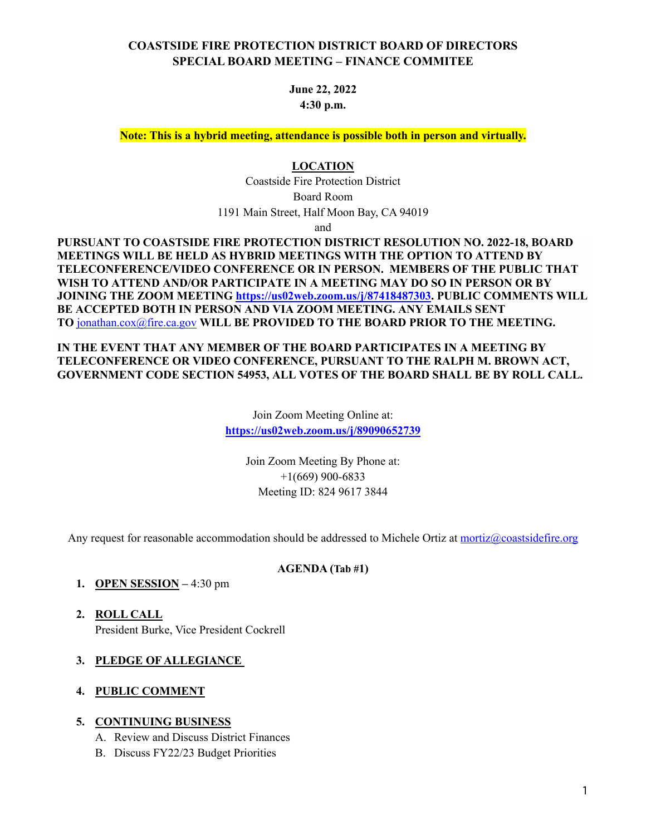### **COASTSIDE FIRE PROTECTION DISTRICT BOARD OF DIRECTORS SPECIAL BOARD MEETING – FINANCE COMMITEE**

**June 22, 2022 4:30 p.m.**

**Note: This is a hybrid meeting, attendance is possible both in person and virtually.**

#### **LOCATION**

Coastside Fire Protection District Board Room 1191 Main Street, Half Moon Bay, CA 94019

and

**PURSUANT TO COASTSIDE FIRE PROTECTION DISTRICT RESOLUTION NO. 2022-18, BOARD MEETINGS WILL BE HELD AS HYBRID MEETINGS WITH THE OPTION TO ATTEND BY TELECONFERENCE/VIDEO CONFERENCE OR IN PERSON. MEMBERS OF THE PUBLIC THAT WISH TO ATTEND AND/OR PARTICIPATE IN A MEETING MAY DO SO IN PERSON OR BY JOINING THE ZOOM MEETING https://us02web.zoom.us/j/87418487303. PUBLIC COMMENTS WILL BE ACCEPTED BOTH IN PERSON AND VIA ZOOM MEETING. ANY EMAILS SENT TO** jonathan.cox@fire.ca.gov **WILL BE PROVIDED TO THE BOARD PRIOR TO THE MEETING.**

**IN THE EVENT THAT ANY MEMBER OF THE BOARD PARTICIPATES IN A MEETING BY TELECONFERENCE OR VIDEO CONFERENCE, PURSUANT TO THE RALPH M. BROWN ACT, GOVERNMENT CODE SECTION 54953, ALL VOTES OF THE BOARD SHALL BE BY ROLL CALL.**

> Join Zoom Meeting Online at: **https://us02web.zoom.us/j/89090652739**

> > Join Zoom Meeting By Phone at: +1(669) 900-6833 Meeting ID: 824 9617 3844

Any request for reasonable accommodation should be addressed to Michele Ortiz at mortiz@coastsidefire.org

#### **AGENDA (Tab #1)**

- **1. OPEN SESSION –** 4:30 pm
- **2. ROLL CALL** President Burke, Vice President Cockrell
- **3. PLEDGE OF ALLEGIANCE**
- **4. PUBLIC COMMENT**

#### **5. CONTINUING BUSINESS**

- A. Review and Discuss District Finances
- B. Discuss FY22/23 Budget Priorities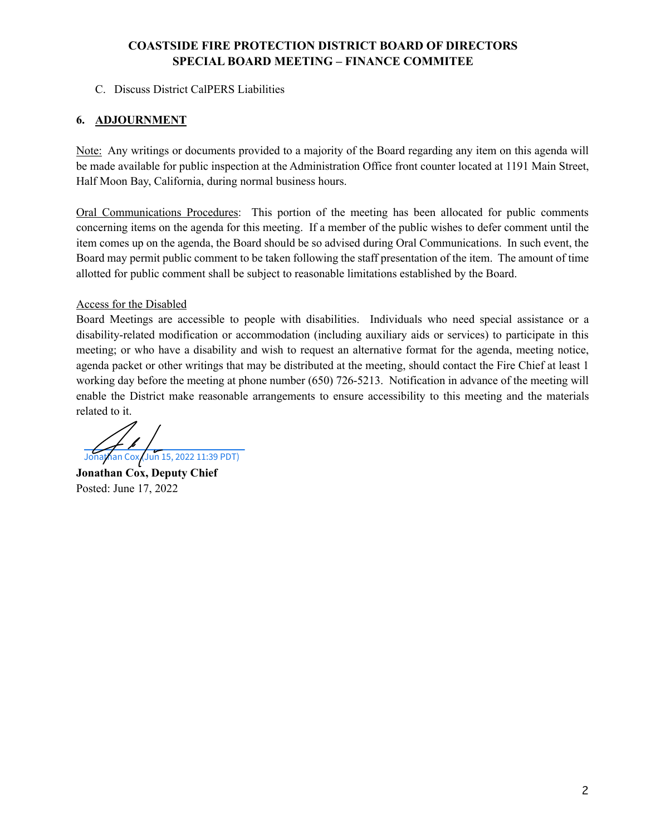## **COASTSIDE FIRE PROTECTION DISTRICT BOARD OF DIRECTORS SPECIAL BOARD MEETING – FINANCE COMMITEE**

#### C. Discuss District CalPERS Liabilities

#### **6. ADJOURNMENT**

Note: Any writings or documents provided to a majority of the Board regarding any item on this agenda will be made available for public inspection at the Administration Office front counter located at 1191 Main Street, Half Moon Bay, California, during normal business hours.

Oral Communications Procedures: This portion of the meeting has been allocated for public comments concerning items on the agenda for this meeting. If a member of the public wishes to defer comment until the item comes up on the agenda, the Board should be so advised during Oral Communications. In such event, the Board may permit public comment to be taken following the staff presentation of the item. The amount of time allotted for public comment shall be subject to reasonable limitations established by the Board.

#### Access for the Disabled

Board Meetings are accessible to people with disabilities. Individuals who need special assistance or a disability-related modification or accommodation (including auxiliary aids or services) to participate in this meeting; or who have a disability and wish to request an alternative format for the agenda, meeting notice, agenda packet or other writings that may be distributed at the meeting, should contact the Fire Chief at least 1 working day before the meeting at phone number (650) 726-5213. Notification in advance of the meeting will enable the District make reasonable arrangements to ensure accessibility to this meeting and the materials related to it.

[Jonathan Cox \(Jun 15, 2022 11:39 PDT\)](https://na2.documents.adobe.com/verifier?tx=CBJCHBCAABAAJba15Y6AV3VKxsxFEuGDemQq2LvWm9QG)

**Jonathan Cox, Deputy Chief** Posted: June 17, 2022